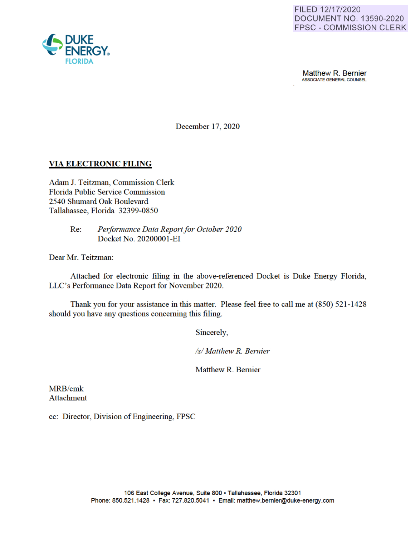

Matthew R. Bernier ASSOCIATE GENERAL COUNSEL

December 17, 2020

# **VIA ELECTRONIC FILING**

Adam J. Teitzman, Commission Clerk Florida Public Service Commission 2540 Shumard Oak Boulevard Tallahassee, Florida 32399-0850

> Re: *Performance Data Report for October 2020*  Docket No. 20200001-EI

Dear Mr. Teitzman:

Attached for electronic filing in the above-referenced Docket is Duke Energy Florida, LLC's Performance Data Report for November 2020.

Thank you for your assistance in this matter. Please feel free to call me at (850) 521-1428 should you have any questions concerning this filing.

Sincerely,

*Isl Matthew R. Bernier* 

Matthew R. Bernier

MRB/cmk Attachment

cc: Director, Division of Engineering, FPSC

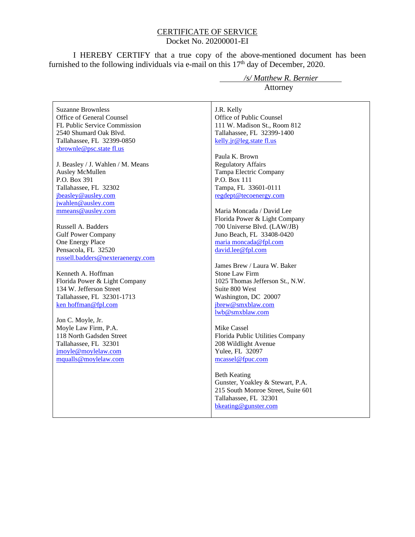### CERTIFICATE OF SERVICE Docket No. 20200001-EI

I HEREBY CERTIFY that a true copy of the above-mentioned document has been furnished to the following individuals via e-mail on this  $17<sup>th</sup>$  day of December, 2020.

Suzanne Brownless Office of General Counsel FL Public Service Commission 2540 Shumard Oak Blvd. Tallahassee, FL 32399-0850 sbrownle@psc.state fl.us

J. Beasley / J. Wahlen / M. Means Ausley McMullen P.O. Box 391 Tallahassee, FL 32302 jbeasley@ausley.com jwahlen@ausley.com mmeans@ausley.com

Russell A. Badders Gulf Power Company One Energy Place Pensacola, FL 32520 russell.badders@nexteraenergy.com

Kenneth A. Hoffman Florida Power & Light Company 134 W. Jefferson Street Tallahassee, FL 32301-1713 ken hoffman@fpl.com

Jon C. Moyle, Jr. Moyle Law Firm, P.A. 118 North Gadsden Street Tallahassee, FL 32301 jmoyle@moylelaw.com mqualls@moylelaw.com

 */s/ Matthew R. Bernier* Attorney

J.R. Kelly Office of Public Counsel 111 W. Madison St., Room 812 Tallahassee, FL 32399-1400 kelly.jr@leg.state fl.us

Paula K. Brown Regulatory Affairs Tampa Electric Company P.O. Box 111 Tampa, FL 33601-0111 regdept@tecoenergy.com

Maria Moncada / David Lee Florida Power & Light Company 700 Universe Blvd. (LAW/JB) Juno Beach, FL 33408-0420 maria moncada@fpl.com david.lee@fpl.com

James Brew / Laura W. Baker Stone Law Firm 1025 Thomas Jefferson St., N.W. Suite 800 West Washington, DC 20007 jbrew@smxblaw.com lwb@smxblaw.com

Mike Cassel Florida Public Utilities Company 208 Wildlight Avenue Yulee, FL 32097 mcassel@fpuc.com

Beth Keating Gunster, Yoakley & Stewart, P.A. 215 South Monroe Street, Suite 601 Tallahassee, FL 32301 bkeating@gunster.com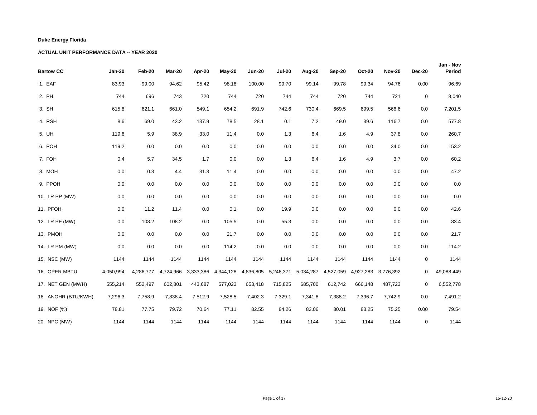| <b>Bartow CC</b>    | <b>Jan-20</b> | Feb-20    | Mar-20    | Apr-20    | May-20    | <b>Jun-20</b> | <b>Jul-20</b> | Aug-20    | Sep-20    | <b>Oct-20</b> | <b>Nov-20</b>       | <b>Dec-20</b> | Jan - Nov<br>Period |
|---------------------|---------------|-----------|-----------|-----------|-----------|---------------|---------------|-----------|-----------|---------------|---------------------|---------------|---------------------|
| 1. EAF              | 83.93         | 99.00     | 94.62     | 95.42     | 98.18     | 100.00        | 99.70         | 99.14     | 99.78     | 99.34         | 94.76               | 0.00          | 96.69               |
| 2. PH               | 744           | 696       | 743       | 720       | 744       | 720           | 744           | 744       | 720       | 744           | 721                 | $\mathbf 0$   | 8,040               |
| 3. SH               | 615.8         | 621.1     | 661.0     | 549.1     | 654.2     | 691.9         | 742.6         | 730.4     | 669.5     | 699.5         | 566.6               | 0.0           | 7,201.5             |
| 4. RSH              | 8.6           | 69.0      | 43.2      | 137.9     | 78.5      | 28.1          | 0.1           | 7.2       | 49.0      | 39.6          | 116.7               | 0.0           | 577.8               |
| 5. UH               | 119.6         | 5.9       | 38.9      | 33.0      | 11.4      | 0.0           | 1.3           | 6.4       | 1.6       | 4.9           | 37.8                | 0.0           | 260.7               |
| 6. POH              | 119.2         | 0.0       | 0.0       | 0.0       | 0.0       | 0.0           | 0.0           | 0.0       | 0.0       | 0.0           | 34.0                | 0.0           | 153.2               |
| 7. FOH              | 0.4           | 5.7       | 34.5      | 1.7       | 0.0       | 0.0           | 1.3           | 6.4       | 1.6       | 4.9           | 3.7                 | 0.0           | 60.2                |
| 8. MOH              | 0.0           | 0.3       | 4.4       | 31.3      | 11.4      | 0.0           | 0.0           | 0.0       | 0.0       | 0.0           | 0.0                 | 0.0           | 47.2                |
| 9. PPOH             | 0.0           | 0.0       | 0.0       | 0.0       | 0.0       | 0.0           | 0.0           | 0.0       | 0.0       | 0.0           | 0.0                 | 0.0           | $0.0\,$             |
| 10. LR PP (MW)      | 0.0           | 0.0       | 0.0       | 0.0       | 0.0       | 0.0           | 0.0           | 0.0       | 0.0       | 0.0           | 0.0                 | 0.0           | $0.0\,$             |
| 11. PFOH            | 0.0           | 11.2      | 11.4      | 0.0       | 0.1       | 0.0           | 19.9          | 0.0       | 0.0       | 0.0           | 0.0                 | 0.0           | 42.6                |
| 12. LR PF (MW)      | 0.0           | 108.2     | 108.2     | 0.0       | 105.5     | 0.0           | 55.3          | 0.0       | 0.0       | 0.0           | 0.0                 | 0.0           | 83.4                |
| 13. PMOH            | 0.0           | 0.0       | 0.0       | 0.0       | 21.7      | 0.0           | 0.0           | 0.0       | 0.0       | 0.0           | 0.0                 | 0.0           | 21.7                |
| 14. LR PM (MW)      | 0.0           | 0.0       | 0.0       | 0.0       | 114.2     | 0.0           | 0.0           | 0.0       | 0.0       | 0.0           | 0.0                 | 0.0           | 114.2               |
| 15. NSC (MW)        | 1144          | 1144      | 1144      | 1144      | 1144      | 1144          | 1144          | 1144      | 1144      | 1144          | 1144                | $\mathbf 0$   | 1144                |
| 16. OPER MBTU       | 4,050,994     | 4,286,777 | 4,724,966 | 3,333,386 | 4,344,128 | 4,836,805     | 5,246,371     | 5,034,287 | 4,527,059 |               | 4,927,283 3,776,392 | 0             | 49,088,449          |
| 17. NET GEN (MWH)   | 555,214       | 552,497   | 602,801   | 443,687   | 577,023   | 653,418       | 715,825       | 685,700   | 612,742   | 666,148       | 487,723             | $\mathbf 0$   | 6,552,778           |
| 18. ANOHR (BTU/KWH) | 7,296.3       | 7,758.9   | 7,838.4   | 7,512.9   | 7,528.5   | 7,402.3       | 7,329.1       | 7,341.8   | 7,388.2   | 7,396.7       | 7,742.9             | 0.0           | 7,491.2             |
| 19. NOF (%)         | 78.81         | 77.75     | 79.72     | 70.64     | 77.11     | 82.55         | 84.26         | 82.06     | 80.01     | 83.25         | 75.25               | 0.00          | 79.54               |
| 20. NPC (MW)        | 1144          | 1144      | 1144      | 1144      | 1144      | 1144          | 1144          | 1144      | 1144      | 1144          | 1144                | $\mathbf 0$   | 1144                |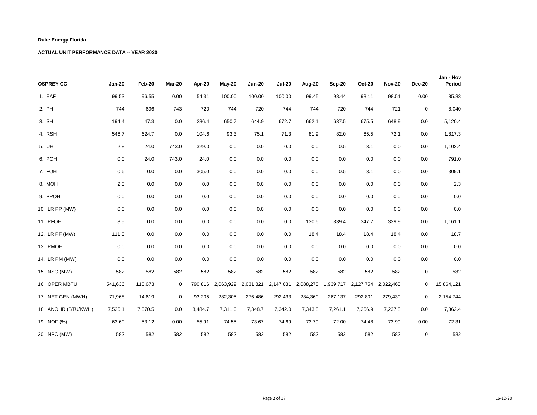| <b>OSPREY CC</b>    | <b>Jan-20</b> | Feb-20  | Mar-20      | Apr-20  | May-20            | <b>Jun-20</b> | <b>Jul-20</b> | Aug-20    | Sep-20  | <b>Oct-20</b>                 | <b>Nov-20</b> | <b>Dec-20</b> | Jan - Nov<br>Period |
|---------------------|---------------|---------|-------------|---------|-------------------|---------------|---------------|-----------|---------|-------------------------------|---------------|---------------|---------------------|
| 1. EAF              | 99.53         | 96.55   | 0.00        | 54.31   | 100.00            | 100.00        | 100.00        | 99.45     | 98.44   | 98.11                         | 98.51         | 0.00          | 85.83               |
| 2. PH               | 744           | 696     | 743         | 720     | 744               | 720           | 744           | 744       | 720     | 744                           | 721           | $\mathbf 0$   | 8,040               |
| 3. SH               | 194.4         | 47.3    | 0.0         | 286.4   | 650.7             | 644.9         | 672.7         | 662.1     | 637.5   | 675.5                         | 648.9         | 0.0           | 5,120.4             |
| 4. RSH              | 546.7         | 624.7   | 0.0         | 104.6   | 93.3              | 75.1          | 71.3          | 81.9      | 82.0    | 65.5                          | 72.1          | 0.0           | 1,817.3             |
| 5. UH               | 2.8           | 24.0    | 743.0       | 329.0   | 0.0               | 0.0           | 0.0           | 0.0       | 0.5     | 3.1                           | 0.0           | 0.0           | 1,102.4             |
| 6. POH              | 0.0           | 24.0    | 743.0       | 24.0    | 0.0               | 0.0           | 0.0           | 0.0       | 0.0     | 0.0                           | 0.0           | 0.0           | 791.0               |
| 7. FOH              | 0.6           | 0.0     | 0.0         | 305.0   | 0.0               | 0.0           | 0.0           | 0.0       | 0.5     | 3.1                           | 0.0           | 0.0           | 309.1               |
| 8. MOH              | 2.3           | 0.0     | 0.0         | 0.0     | 0.0               | 0.0           | 0.0           | 0.0       | 0.0     | 0.0                           | 0.0           | 0.0           | $2.3\,$             |
| 9. PPOH             | 0.0           | 0.0     | 0.0         | 0.0     | 0.0               | 0.0           | 0.0           | 0.0       | 0.0     | 0.0                           | 0.0           | 0.0           | $0.0\,$             |
| 10. LR PP (MW)      | 0.0           | 0.0     | 0.0         | 0.0     | 0.0               | 0.0           | 0.0           | 0.0       | 0.0     | 0.0                           | 0.0           | 0.0           | 0.0                 |
| 11. PFOH            | 3.5           | 0.0     | 0.0         | 0.0     | 0.0               | 0.0           | 0.0           | 130.6     | 339.4   | 347.7                         | 339.9         | 0.0           | 1,161.1             |
| 12. LR PF (MW)      | 111.3         | 0.0     | 0.0         | 0.0     | 0.0               | 0.0           | 0.0           | 18.4      | 18.4    | 18.4                          | 18.4          | 0.0           | 18.7                |
| 13. PMOH            | 0.0           | 0.0     | 0.0         | 0.0     | 0.0               | 0.0           | 0.0           | 0.0       | 0.0     | 0.0                           | 0.0           | 0.0           | $0.0\,$             |
| 14. LR PM (MW)      | 0.0           | 0.0     | 0.0         | 0.0     | 0.0               | 0.0           | 0.0           | 0.0       | 0.0     | 0.0                           | 0.0           | 0.0           | 0.0                 |
| 15. NSC (MW)        | 582           | 582     | 582         | 582     | 582               | 582           | 582           | 582       | 582     | 582                           | 582           | $\mathbf 0$   | 582                 |
| 16. OPER MBTU       | 541,636       | 110,673 | 0           |         | 790,816 2,063,929 | 2,031,821     | 2,147,031     | 2,088,278 |         | 1,939,717 2,127,754 2,022,465 |               | 0             | 15,864,121          |
| 17. NET GEN (MWH)   | 71,968        | 14,619  | $\mathbf 0$ | 93,205  | 282,305           | 276,486       | 292,433       | 284,360   | 267,137 | 292,801                       | 279,430       | 0             | 2,154,744           |
| 18. ANOHR (BTU/KWH) | 7,526.1       | 7,570.5 | 0.0         | 8,484.7 | 7,311.0           | 7,348.7       | 7,342.0       | 7,343.8   | 7,261.1 | 7,266.9                       | 7,237.8       | 0.0           | 7,362.4             |
| 19. NOF (%)         | 63.60         | 53.12   | 0.00        | 55.91   | 74.55             | 73.67         | 74.69         | 73.79     | 72.00   | 74.48                         | 73.99         | 0.00          | 72.31               |
| 20. NPC (MW)        | 582           | 582     | 582         | 582     | 582               | 582           | 582           | 582       | 582     | 582                           | 582           | $\mathbf 0$   | 582                 |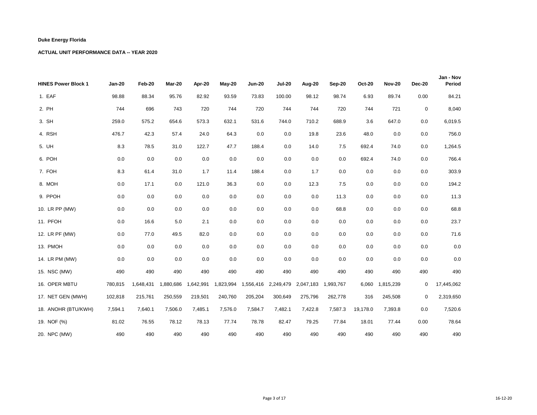| <b>HINES Power Block 1</b> | <b>Jan-20</b> | Feb-20    | Mar-20    | Apr-20    | $May-20$  | <b>Jun-20</b> | <b>Jul-20</b> | Aug-20    | Sep-20    | <b>Oct-20</b> | <b>Nov-20</b>   | <b>Dec-20</b> | Jan - Nov<br>Period |
|----------------------------|---------------|-----------|-----------|-----------|-----------|---------------|---------------|-----------|-----------|---------------|-----------------|---------------|---------------------|
| 1. EAF                     | 98.88         | 88.34     | 95.76     | 82.92     | 93.59     | 73.83         | 100.00        | 98.12     | 98.74     | 6.93          | 89.74           | 0.00          | 84.21               |
| 2. PH                      | 744           | 696       | 743       | 720       | 744       | 720           | 744           | 744       | 720       | 744           | 721             | $\mathbf 0$   | 8,040               |
| 3. SH                      | 259.0         | 575.2     | 654.6     | 573.3     | 632.1     | 531.6         | 744.0         | 710.2     | 688.9     | 3.6           | 647.0           | 0.0           | 6,019.5             |
| 4. RSH                     | 476.7         | 42.3      | 57.4      | 24.0      | 64.3      | 0.0           | 0.0           | 19.8      | 23.6      | 48.0          | 0.0             | 0.0           | 756.0               |
| 5. UH                      | 8.3           | 78.5      | 31.0      | 122.7     | 47.7      | 188.4         | 0.0           | 14.0      | 7.5       | 692.4         | 74.0            | 0.0           | 1,264.5             |
| 6. POH                     | 0.0           | 0.0       | 0.0       | 0.0       | 0.0       | 0.0           | 0.0           | 0.0       | 0.0       | 692.4         | 74.0            | 0.0           | 766.4               |
| 7. FOH                     | 8.3           | 61.4      | 31.0      | 1.7       | 11.4      | 188.4         | 0.0           | 1.7       | 0.0       | 0.0           | 0.0             | 0.0           | 303.9               |
| 8. MOH                     | 0.0           | 17.1      | 0.0       | 121.0     | 36.3      | 0.0           | 0.0           | 12.3      | 7.5       | 0.0           | 0.0             | 0.0           | 194.2               |
| 9. PPOH                    | 0.0           | 0.0       | 0.0       | 0.0       | 0.0       | 0.0           | 0.0           | 0.0       | 11.3      | 0.0           | 0.0             | 0.0           | 11.3                |
| 10. LR PP (MW)             | 0.0           | 0.0       | 0.0       | 0.0       | 0.0       | 0.0           | 0.0           | 0.0       | 68.8      | 0.0           | 0.0             | 0.0           | 68.8                |
| 11. PFOH                   | 0.0           | 16.6      | 5.0       | 2.1       | 0.0       | 0.0           | 0.0           | 0.0       | 0.0       | 0.0           | 0.0             | 0.0           | 23.7                |
| 12. LR PF (MW)             | 0.0           | 77.0      | 49.5      | 82.0      | 0.0       | 0.0           | 0.0           | 0.0       | 0.0       | 0.0           | 0.0             | 0.0           | 71.6                |
| 13. PMOH                   | 0.0           | 0.0       | 0.0       | 0.0       | 0.0       | 0.0           | 0.0           | 0.0       | 0.0       | 0.0           | 0.0             | 0.0           | $0.0\,$             |
| 14. LR PM (MW)             | 0.0           | 0.0       | 0.0       | 0.0       | 0.0       | 0.0           | 0.0           | 0.0       | 0.0       | 0.0           | 0.0             | 0.0           | 0.0                 |
| 15. NSC (MW)               | 490           | 490       | 490       | 490       | 490       | 490           | 490           | 490       | 490       | 490           | 490             | 490           | 490                 |
| 16. OPER MBTU              | 780,815       | 1,648,431 | 1,880,686 | 1,642,991 | 1,823,994 | 1,556,416     | 2,249,479     | 2,047,183 | 1,993,767 |               | 6,060 1,815,239 | 0             | 17,445,062          |
| 17. NET GEN (MWH)          | 102,818       | 215,761   | 250,559   | 219,501   | 240,760   | 205,204       | 300,649       | 275,796   | 262,778   | 316           | 245,508         | 0             | 2,319,650           |
| 18. ANOHR (BTU/KWH)        | 7,594.1       | 7,640.1   | 7,506.0   | 7,485.1   | 7,576.0   | 7,584.7       | 7,482.1       | 7,422.8   | 7,587.3   | 19,178.0      | 7,393.8         | 0.0           | 7,520.6             |
| 19. NOF (%)                | 81.02         | 76.55     | 78.12     | 78.13     | 77.74     | 78.78         | 82.47         | 79.25     | 77.84     | 18.01         | 77.44           | 0.00          | 78.64               |
| 20. NPC (MW)               | 490           | 490       | 490       | 490       | 490       | 490           | 490           | 490       | 490       | 490           | 490             | 490           | 490                 |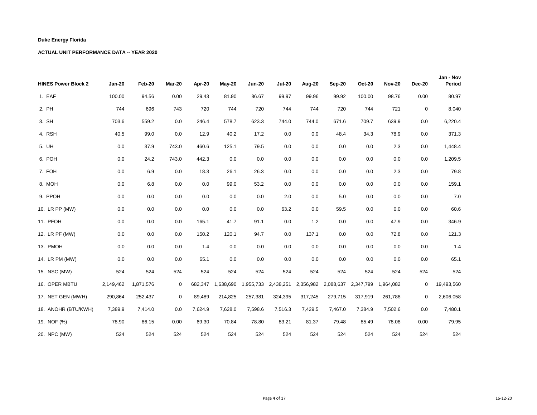| <b>HINES Power Block 2</b> | <b>Jan-20</b> | Feb-20    | Mar-20      | Apr-20  | $May-20$  | <b>Jun-20</b> | <b>Jul-20</b> | <b>Aug-20</b> | Sep-20  | <b>Oct-20</b>       | <b>Nov-20</b> | <b>Dec-20</b> | Jan - Nov<br>Period |
|----------------------------|---------------|-----------|-------------|---------|-----------|---------------|---------------|---------------|---------|---------------------|---------------|---------------|---------------------|
| 1. EAF                     | 100.00        | 94.56     | 0.00        | 29.43   | 81.90     | 86.67         | 99.97         | 99.96         | 99.92   | 100.00              | 98.76         | 0.00          | 80.97               |
| 2. PH                      | 744           | 696       | 743         | 720     | 744       | 720           | 744           | 744           | 720     | 744                 | 721           | $\mathbf 0$   | 8,040               |
| 3. SH                      | 703.6         | 559.2     | 0.0         | 246.4   | 578.7     | 623.3         | 744.0         | 744.0         | 671.6   | 709.7               | 639.9         | 0.0           | 6,220.4             |
| 4. RSH                     | 40.5          | 99.0      | 0.0         | 12.9    | 40.2      | 17.2          | 0.0           | 0.0           | 48.4    | 34.3                | 78.9          | 0.0           | 371.3               |
| 5. UH                      | 0.0           | 37.9      | 743.0       | 460.6   | 125.1     | 79.5          | 0.0           | 0.0           | 0.0     | 0.0                 | 2.3           | 0.0           | 1,448.4             |
| 6. POH                     | 0.0           | 24.2      | 743.0       | 442.3   | 0.0       | 0.0           | 0.0           | 0.0           | 0.0     | 0.0                 | 0.0           | 0.0           | 1,209.5             |
| 7. FOH                     | 0.0           | 6.9       | 0.0         | 18.3    | 26.1      | 26.3          | 0.0           | 0.0           | 0.0     | 0.0                 | 2.3           | 0.0           | 79.8                |
| 8. MOH                     | 0.0           | 6.8       | 0.0         | 0.0     | 99.0      | 53.2          | 0.0           | 0.0           | 0.0     | 0.0                 | 0.0           | 0.0           | 159.1               |
| 9. PPOH                    | 0.0           | 0.0       | 0.0         | 0.0     | 0.0       | 0.0           | 2.0           | 0.0           | 5.0     | 0.0                 | 0.0           | 0.0           | 7.0                 |
| 10. LR PP (MW)             | 0.0           | 0.0       | 0.0         | 0.0     | 0.0       | 0.0           | 63.2          | 0.0           | 59.5    | 0.0                 | 0.0           | 0.0           | 60.6                |
| 11. PFOH                   | 0.0           | 0.0       | 0.0         | 165.1   | 41.7      | 91.1          | 0.0           | 1.2           | 0.0     | 0.0                 | 47.9          | 0.0           | 346.9               |
| 12. LR PF (MW)             | 0.0           | 0.0       | 0.0         | 150.2   | 120.1     | 94.7          | 0.0           | 137.1         | 0.0     | 0.0                 | 72.8          | 0.0           | 121.3               |
| 13. PMOH                   | 0.0           | 0.0       | 0.0         | 1.4     | 0.0       | 0.0           | 0.0           | 0.0           | 0.0     | 0.0                 | 0.0           | 0.0           | 1.4                 |
| 14. LR PM (MW)             | 0.0           | 0.0       | 0.0         | 65.1    | 0.0       | 0.0           | 0.0           | 0.0           | 0.0     | 0.0                 | 0.0           | 0.0           | 65.1                |
| 15. NSC (MW)               | 524           | 524       | 524         | 524     | 524       | 524           | 524           | 524           | 524     | 524                 | 524           | 524           | 524                 |
| 16. OPER MBTU              | 2,149,462     | 1,871,576 | 0           | 682,347 | 1,638,690 | 1,955,733     | 2,438,251     | 2,356,982     |         | 2,088,637 2,347,799 | 1,964,082     | 0             | 19,493,560          |
| 17. NET GEN (MWH)          | 290,864       | 252,437   | $\mathbf 0$ | 89,489  | 214,825   | 257,381       | 324,395       | 317,245       | 279,715 | 317,919             | 261,788       | $\mathbf 0$   | 2,606,058           |
| 18. ANOHR (BTU/KWH)        | 7,389.9       | 7,414.0   | 0.0         | 7,624.9 | 7,628.0   | 7,598.6       | 7,516.3       | 7,429.5       | 7,467.0 | 7,384.9             | 7,502.6       | 0.0           | 7,480.1             |
| 19. NOF (%)                | 78.90         | 86.15     | 0.00        | 69.30   | 70.84     | 78.80         | 83.21         | 81.37         | 79.48   | 85.49               | 78.08         | 0.00          | 79.95               |
| 20. NPC (MW)               | 524           | 524       | 524         | 524     | 524       | 524           | 524           | 524           | 524     | 524                 | 524           | 524           | 524                 |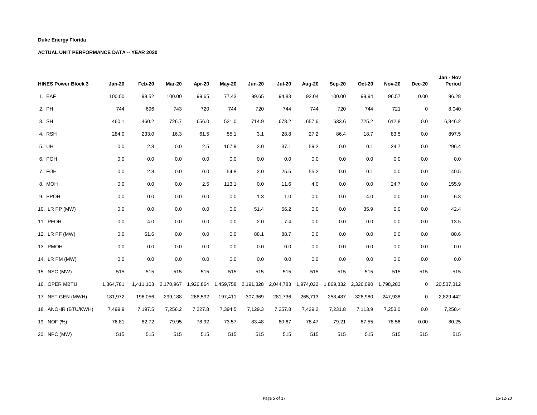| <b>HINES Power Block 3</b> | <b>Jan-20</b> | Feb-20  | Mar-20              | Apr-20    | May-20  | <b>Jun-20</b>       | <b>Jul-20</b> | Aug-20    | Sep-20  | <b>Oct-20</b>       | <b>Nov-20</b> | <b>Dec-20</b> | Jan - Nov<br>Period |
|----------------------------|---------------|---------|---------------------|-----------|---------|---------------------|---------------|-----------|---------|---------------------|---------------|---------------|---------------------|
| 1. EAF                     | 100.00        | 99.52   | 100.00              | 99.65     | 77.43   | 99.65               | 94.83         | 92.04     | 100.00  | 99.94               | 96.57         | 0.00          | 96.28               |
| 2. PH                      | 744           | 696     | 743                 | 720       | 744     | 720                 | 744           | 744       | 720     | 744                 | 721           | $\mathbf 0$   | 8,040               |
| 3. SH                      | 460.1         | 460.2   | 726.7               | 656.0     | 521.0   | 714.9               | 678.2         | 657.6     | 633.6   | 725.2               | 612.8         | 0.0           | 6,846.2             |
| 4. RSH                     | 284.0         | 233.0   | 16.3                | 61.5      | 55.1    | 3.1                 | 28.8          | 27.2      | 86.4    | 18.7                | 83.5          | 0.0           | 897.5               |
| 5. UH                      | 0.0           | 2.8     | 0.0                 | 2.5       | 167.9   | 2.0                 | 37.1          | 59.2      | 0.0     | 0.1                 | 24.7          | 0.0           | 296.4               |
| 6. POH                     | 0.0           | 0.0     | 0.0                 | 0.0       | 0.0     | 0.0                 | 0.0           | 0.0       | 0.0     | 0.0                 | 0.0           | 0.0           | $0.0\,$             |
| 7. FOH                     | 0.0           | 2.8     | 0.0                 | 0.0       | 54.8    | 2.0                 | 25.5          | 55.2      | 0.0     | 0.1                 | 0.0           | 0.0           | 140.5               |
| 8. MOH                     | 0.0           | 0.0     | 0.0                 | 2.5       | 113.1   | 0.0                 | 11.6          | 4.0       | 0.0     | 0.0                 | 24.7          | 0.0           | 155.9               |
| 9. PPOH                    | 0.0           | 0.0     | 0.0                 | 0.0       | 0.0     | 1.3                 | 1.0           | 0.0       | 0.0     | 4.0                 | 0.0           | 0.0           | 6.3                 |
| 10. LR PP (MW)             | 0.0           | 0.0     | 0.0                 | 0.0       | 0.0     | 51.4                | 56.2          | 0.0       | 0.0     | 35.9                | 0.0           | 0.0           | 42.4                |
| 11. PFOH                   | 0.0           | 4.0     | 0.0                 | 0.0       | 0.0     | 2.0                 | 7.4           | 0.0       | 0.0     | 0.0                 | 0.0           | 0.0           | 13.5                |
| 12. LR PF (MW)             | 0.0           | 61.6    | 0.0                 | 0.0       | 0.0     | 88.1                | 88.7          | 0.0       | 0.0     | 0.0                 | 0.0           | 0.0           | 80.6                |
| 13. PMOH                   | 0.0           | 0.0     | 0.0                 | 0.0       | 0.0     | 0.0                 | 0.0           | 0.0       | 0.0     | 0.0                 | 0.0           | 0.0           | $0.0\,$             |
| 14. LR PM (MW)             | 0.0           | 0.0     | 0.0                 | 0.0       | 0.0     | 0.0                 | 0.0           | 0.0       | 0.0     | 0.0                 | 0.0           | 0.0           | 0.0                 |
| 15. NSC (MW)               | 515           | 515     | 515                 | 515       | 515     | 515                 | 515           | 515       | 515     | 515                 | 515           | 515           | 515                 |
| 16. OPER MBTU              | 1,364,781     |         | 1,411,103 2,170,967 | 1,926,864 |         | 1,459,758 2,191,328 | 2,044,783     | 1,974,022 |         | 1,869,332 2,326,090 | 1,798,283     | 0             | 20,537,312          |
| 17. NET GEN (MWH)          | 181,972       | 196,056 | 299,188             | 266,592   | 197,411 | 307,369             | 281,736       | 265,713   | 258,487 | 326,980             | 247,938       | 0             | 2,829,442           |
| 18. ANOHR (BTU/KWH)        | 7,499.9       | 7,197.5 | 7,256.2             | 7,227.8   | 7,394.5 | 7,129.3             | 7,257.8       | 7,429.2   | 7,231.8 | 7,113.9             | 7,253.0       | 0.0           | 7,258.4             |
| 19. NOF (%)                | 76.81         | 82.72   | 79.95               | 78.92     | 73.57   | 83.48               | 80.67         | 78.47     | 79.21   | 87.55               | 78.56         | 0.00          | 80.25               |
| 20. NPC (MW)               | 515           | 515     | 515                 | 515       | 515     | 515                 | 515           | 515       | 515     | 515                 | 515           | 515           | 515                 |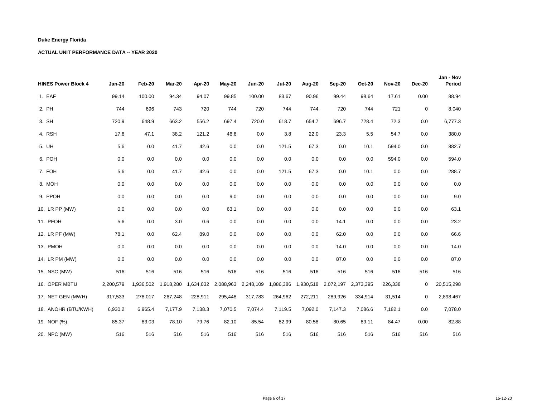| <b>HINES Power Block 4</b> | <b>Jan-20</b> | Feb-20    | Mar-20    | Apr-20    | $May-20$  | <b>Jun-20</b> | <b>Jul-20</b> | Aug-20    | Sep-20  | <b>Oct-20</b>       | <b>Nov-20</b> | <b>Dec-20</b> | Jan - Nov<br>Period |
|----------------------------|---------------|-----------|-----------|-----------|-----------|---------------|---------------|-----------|---------|---------------------|---------------|---------------|---------------------|
| 1. EAF                     | 99.14         | 100.00    | 94.34     | 94.07     | 99.85     | 100.00        | 83.67         | 90.96     | 99.44   | 98.64               | 17.61         | 0.00          | 88.94               |
| 2. PH                      | 744           | 696       | 743       | 720       | 744       | 720           | 744           | 744       | 720     | 744                 | 721           | $\mathbf 0$   | 8,040               |
| 3. SH                      | 720.9         | 648.9     | 663.2     | 556.2     | 697.4     | 720.0         | 618.7         | 654.7     | 696.7   | 728.4               | 72.3          | 0.0           | 6,777.3             |
| 4. RSH                     | 17.6          | 47.1      | 38.2      | 121.2     | 46.6      | 0.0           | 3.8           | 22.0      | 23.3    | 5.5                 | 54.7          | 0.0           | 380.0               |
| 5. UH                      | 5.6           | 0.0       | 41.7      | 42.6      | 0.0       | 0.0           | 121.5         | 67.3      | 0.0     | 10.1                | 594.0         | 0.0           | 882.7               |
| 6. POH                     | 0.0           | 0.0       | 0.0       | 0.0       | 0.0       | 0.0           | 0.0           | 0.0       | 0.0     | 0.0                 | 594.0         | 0.0           | 594.0               |
| 7. FOH                     | 5.6           | 0.0       | 41.7      | 42.6      | 0.0       | 0.0           | 121.5         | 67.3      | 0.0     | 10.1                | 0.0           | 0.0           | 288.7               |
| 8. MOH                     | 0.0           | 0.0       | 0.0       | 0.0       | 0.0       | 0.0           | 0.0           | 0.0       | 0.0     | 0.0                 | 0.0           | 0.0           | 0.0                 |
| 9. PPOH                    | 0.0           | 0.0       | 0.0       | 0.0       | 9.0       | 0.0           | 0.0           | 0.0       | 0.0     | 0.0                 | 0.0           | 0.0           | 9.0                 |
| 10. LR PP (MW)             | 0.0           | 0.0       | 0.0       | 0.0       | 63.1      | 0.0           | 0.0           | 0.0       | 0.0     | 0.0                 | 0.0           | 0.0           | 63.1                |
| 11. PFOH                   | 5.6           | 0.0       | 3.0       | 0.6       | 0.0       | 0.0           | 0.0           | 0.0       | 14.1    | 0.0                 | 0.0           | 0.0           | 23.2                |
| 12. LR PF (MW)             | 78.1          | 0.0       | 62.4      | 89.0      | 0.0       | 0.0           | 0.0           | 0.0       | 62.0    | 0.0                 | 0.0           | 0.0           | 66.6                |
| 13. PMOH                   | 0.0           | 0.0       | 0.0       | 0.0       | 0.0       | 0.0           | 0.0           | 0.0       | 14.0    | 0.0                 | 0.0           | 0.0           | 14.0                |
| 14. LR PM (MW)             | 0.0           | 0.0       | 0.0       | 0.0       | 0.0       | 0.0           | 0.0           | 0.0       | 87.0    | 0.0                 | 0.0           | 0.0           | 87.0                |
| 15. NSC (MW)               | 516           | 516       | 516       | 516       | 516       | 516           | 516           | 516       | 516     | 516                 | 516           | 516           | 516                 |
| 16. OPER MBTU              | 2,200,579     | 1,936,502 | 1,918,280 | 1,634,032 | 2,088,963 | 2,248,109     | 1,886,386     | 1,930,518 |         | 2,072,197 2,373,395 | 226,338       | 0             | 20,515,298          |
| 17. NET GEN (MWH)          | 317,533       | 278,017   | 267,248   | 228,911   | 295,448   | 317,783       | 264,962       | 272,211   | 289,926 | 334,914             | 31,514        | 0             | 2,898,467           |
| 18. ANOHR (BTU/KWH)        | 6,930.2       | 6,965.4   | 7,177.9   | 7,138.3   | 7,070.5   | 7,074.4       | 7,119.5       | 7,092.0   | 7,147.3 | 7,086.6             | 7,182.1       | 0.0           | 7,078.0             |
| 19. NOF (%)                | 85.37         | 83.03     | 78.10     | 79.76     | 82.10     | 85.54         | 82.99         | 80.58     | 80.65   | 89.11               | 84.47         | 0.00          | 82.88               |
| 20. NPC (MW)               | 516           | 516       | 516       | 516       | 516       | 516           | 516           | 516       | 516     | 516                 | 516           | 516           | 516                 |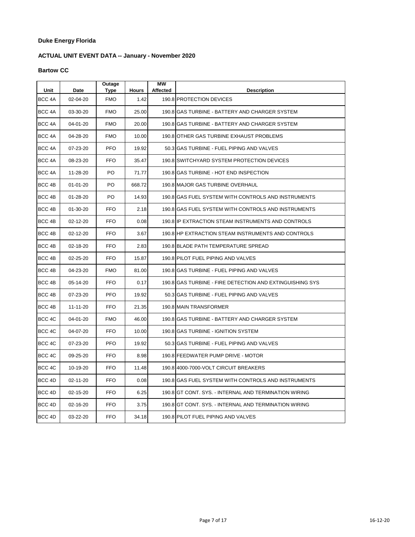# **ACTUAL UNIT EVENT DATA -- January - November 2020**

### **Bartow CC**

| Unit              | Date           | Outage<br>Type | <b>Hours</b> | МW<br><b>Affected</b> | <b>Description</b>                                       |
|-------------------|----------------|----------------|--------------|-----------------------|----------------------------------------------------------|
| BCC <sub>4A</sub> | 02-04-20       | <b>FMO</b>     | 1.42         |                       | 190.8 PROTECTION DEVICES                                 |
| BCC 4A            | 03-30-20       | <b>FMO</b>     | 25.00        |                       | 190.8 GAS TURBINE - BATTERY AND CHARGER SYSTEM           |
| BCC 4A            | 04-01-20       | <b>FMO</b>     | 20.00        |                       | 190.8 GAS TURBINE - BATTERY AND CHARGER SYSTEM           |
| BCC <sub>4A</sub> | 04-28-20       | <b>FMO</b>     | 10.00        |                       | 190.8 OTHER GAS TURBINE EXHAUST PROBLEMS                 |
| BCC <sub>4A</sub> | 07-23-20       | <b>PFO</b>     | 19.92        |                       | 50.3 GAS TURBINE - FUEL PIPING AND VALVES                |
| BCC 4A            | 08-23-20       | <b>FFO</b>     | 35.47        |                       | 190.8 SWITCHYARD SYSTEM PROTECTION DEVICES               |
| BCC <sub>4A</sub> | 11-28-20       | PO             | 71.77        |                       | 190.8 GAS TURBINE - HOT END INSPECTION                   |
| BCC 4B            | $01 - 01 - 20$ | PO             | 668.72       |                       | 190.8 MAJOR GAS TURBINE OVERHAUL                         |
| BCC 4B            | $01 - 28 - 20$ | PO.            | 14.93        |                       | 190.8 GAS FUEL SYSTEM WITH CONTROLS AND INSTRUMENTS      |
| BCC 4B            | $01 - 30 - 20$ | <b>FFO</b>     | 2.18         |                       | 190.8 GAS FUEL SYSTEM WITH CONTROLS AND INSTRUMENTS      |
| BCC 4B            | 02-12-20       | <b>FFO</b>     | 0.08         |                       | 190.8 IP EXTRACTION STEAM INSTRUMENTS AND CONTROLS       |
| BCC 4B            | 02-12-20       | <b>FFO</b>     | 3.67         |                       | 190.8 HP EXTRACTION STEAM INSTRUMENTS AND CONTROLS       |
| BCC 4B            | 02-18-20       | <b>FFO</b>     | 2.83         |                       | 190.8 BLADE PATH TEMPERATURE SPREAD                      |
| BCC 4B            | 02-25-20       | <b>FFO</b>     | 15.87        |                       | 190.8 PILOT FUEL PIPING AND VALVES                       |
| BCC 4B            | 04-23-20       | <b>FMO</b>     | 81.00        |                       | 190.8 GAS TURBINE - FUEL PIPING AND VALVES               |
| BCC 4B            | 05-14-20       | <b>FFO</b>     | 0.17         |                       | 190.8 GAS TURBINE - FIRE DETECTION AND EXTINGUISHING SYS |
| BCC <sub>4B</sub> | 07-23-20       | <b>PFO</b>     | 19.92        |                       | 50.3 GAS TURBINE - FUEL PIPING AND VALVES                |
| BCC 4B            | 11-11-20       | <b>FFO</b>     | 21.35        |                       | 190.8 MAIN TRANSFORMER                                   |
| BCC 4C            | 04-01-20       | <b>FMO</b>     | 46.00        |                       | 190.8 IGAS TURBINE - BATTERY AND CHARGER SYSTEM          |
| BCC 4C            | 04-07-20       | FFO.           | 10.00        |                       | 190.8 GAS TURBINE - IGNITION SYSTEM                      |
| BCC 4C            | 07-23-20       | <b>PFO</b>     | 19.92        |                       | 50.3 GAS TURBINE - FUEL PIPING AND VALVES                |
| BCC 4C            | 09-25-20       | <b>FFO</b>     | 8.98         |                       | 190.8 FEEDWATER PUMP DRIVE - MOTOR                       |
| BCC 4C            | 10-19-20       | <b>FFO</b>     | 11.48        |                       | 190.8 4000-7000-VOLT CIRCUIT BREAKERS                    |
| BCC 4D            | 02-11-20       | <b>FFO</b>     | 0.08         |                       | 190.8 GAS FUEL SYSTEM WITH CONTROLS AND INSTRUMENTS      |
| BCC 4D            | 02-15-20       | <b>FFO</b>     | 6.25         |                       | 190.8 GT CONT. SYS. - INTERNAL AND TERMINATION WIRING    |
| BCC 4D            | 02-16-20       | <b>FFO</b>     | 3.75         |                       | 190.8 GT CONT. SYS. - INTERNAL AND TERMINATION WIRING    |
| BCC <sub>4D</sub> | 03-22-20       | FFO.           | 34.18        |                       | 190.8 PILOT FUEL PIPING AND VALVES                       |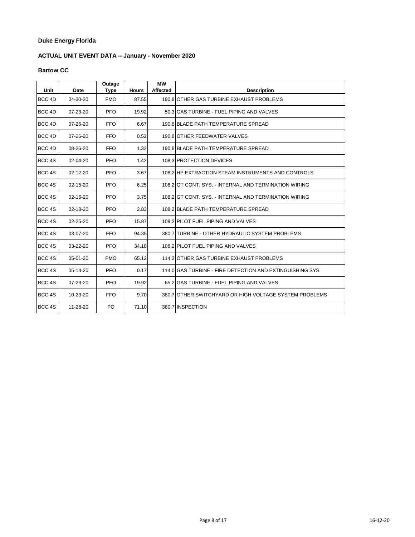# **ACTUAL UNIT EVENT DATA -- January - November 2020**

### **Bartow CC**

| Unit              | Date           | Outage<br>Type | <b>Hours</b> | <b>MW</b><br><b>Affected</b> | <b>Description</b>                                       |
|-------------------|----------------|----------------|--------------|------------------------------|----------------------------------------------------------|
| BCC <sub>4D</sub> | $04 - 30 - 20$ | <b>FMO</b>     | 87.55        |                              | 190.8 OTHER GAS TURBINE EXHAUST PROBLEMS                 |
| BCC <sub>4D</sub> | 07-23-20       | <b>PFO</b>     | 19.92        |                              | 50.3 GAS TURBINE - FUEL PIPING AND VALVES                |
| BCC <sub>4D</sub> | 07-26-20       | <b>FFO</b>     | 6.67         |                              | 190.8 BLADE PATH TEMPERATURE SPREAD                      |
| BCC <sub>4D</sub> | 07-26-20       | <b>FFO</b>     | 0.52         |                              | 190.8 OTHER FEEDWATER VALVES                             |
| BCC <sub>4D</sub> | 08-26-20       | <b>FFO</b>     | 1.32         |                              | 190.8 BLADE PATH TEMPERATURE SPREAD                      |
| BCC 4S            | 02-04-20       | <b>PFO</b>     | 1.42         |                              | 108.3 PROTECTION DEVICES                                 |
| BCC 4S            | 02-12-20       | <b>PFO</b>     | 3.67         |                              | 108.2 HP EXTRACTION STEAM INSTRUMENTS AND CONTROLS       |
| BCC <sub>4S</sub> | 02-15-20       | <b>PFO</b>     | 6.25         |                              | 108.2 GT CONT. SYS. - INTERNAL AND TERMINATION WIRING    |
| BCC <sub>4S</sub> | 02-16-20       | <b>PFO</b>     | 3.75         |                              | 108.2 GT CONT. SYS. - INTERNAL AND TERMINATION WIRING    |
| BCC <sub>4S</sub> | 02-18-20       | <b>PFO</b>     | 2.83         |                              | 108.2 BLADE PATH TEMPERATURE SPREAD                      |
| BCC <sub>4S</sub> | 02-25-20       | <b>PFO</b>     | 15.87        |                              | 108.2 PILOT FUEL PIPING AND VALVES                       |
| BCC <sub>4S</sub> | 03-07-20       | <b>FFO</b>     | 94.35        |                              | 380.7 TURBINE - OTHER HYDRAULIC SYSTEM PROBLEMS          |
| BCC <sub>4S</sub> | $03 - 22 - 20$ | <b>PFO</b>     | 34.18        |                              | 108.2 PILOT FUEL PIPING AND VALVES                       |
| BCC <sub>4S</sub> | 05-01-20       | <b>PMO</b>     | 65.12        |                              | 114.2 OTHER GAS TURBINE EXHAUST PROBLEMS                 |
| BCC <sub>4S</sub> | 05-14-20       | <b>PFO</b>     | 0.17         |                              | 114.0 GAS TURBINE - FIRE DETECTION AND EXTINGUISHING SYS |
| BCC 4S            | 07-23-20       | <b>PFO</b>     | 19.92        |                              | 65.2 GAS TURBINE - FUEL PIPING AND VALVES                |
| BCC <sub>4S</sub> | 10-23-20       | <b>FFO</b>     | 9.70         |                              | 380.7 OTHER SWITCHYARD OR HIGH VOLTAGE SYSTEM PROBLEMS   |
| BCC <sub>4S</sub> | 11-28-20       | PO.            | 71.10        |                              | 380.7 INSPECTION                                         |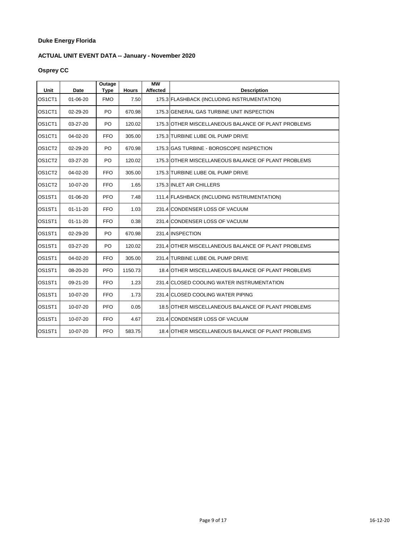# **ACTUAL UNIT EVENT DATA -- January - November 2020**

# **Osprey CC**

| Unit                            | Date           | Outage<br><b>Type</b> | <b>Hours</b> | $\overline{\text{MW}}$<br><b>Affected</b> | <b>Description</b>                                  |
|---------------------------------|----------------|-----------------------|--------------|-------------------------------------------|-----------------------------------------------------|
| OS1CT1                          | 01-06-20       | <b>FMO</b>            | 7.50         |                                           | 175.3 FLASHBACK (INCLUDING INSTRUMENTATION)         |
| OS1CT1                          | 02-29-20       | PO                    | 670.98       |                                           | 175.3 GENERAL GAS TURBINE UNIT INSPECTION           |
| OS1CT1                          | 03-27-20       | PO                    | 120.02       |                                           | 175.3 OTHER MISCELLANEOUS BALANCE OF PLANT PROBLEMS |
| OS1CT1                          | 04-02-20       | <b>FFO</b>            | 305.00       |                                           | 175.3 TURBINE LUBE OIL PUMP DRIVE                   |
| OS1CT2                          | 02-29-20       | PO                    | 670.98       |                                           | 175.3 GAS TURBINE - BOROSCOPE INSPECTION            |
| OS1CT2                          | 03-27-20       | PO                    | 120.02       |                                           | 175.3 OTHER MISCELLANEOUS BALANCE OF PLANT PROBLEMS |
| OS1CT2                          | 04-02-20       | <b>FFO</b>            | 305.00       |                                           | 175.3 TURBINE LUBE OIL PUMP DRIVE                   |
| OS <sub>1</sub> CT <sub>2</sub> | 10-07-20       | <b>FFO</b>            | 1.65         |                                           | 175.3 INLET AIR CHILLERS                            |
| OS1ST1                          | $01 - 06 - 20$ | <b>PFO</b>            | 7.48         |                                           | 111.4 FLASHBACK (INCLUDING INSTRUMENTATION)         |
| OS1ST1                          | $01 - 11 - 20$ | <b>FFO</b>            | 1.03         |                                           | 231.4 CONDENSER LOSS OF VACUUM                      |
| OS1ST1                          | $01 - 11 - 20$ | <b>FFO</b>            | 0.38         |                                           | 231.4 CONDENSER LOSS OF VACUUM                      |
| OS1ST1                          | 02-29-20       | PO                    | 670.98       |                                           | 231.4 INSPECTION                                    |
| OS1ST1                          | 03-27-20       | PO                    | 120.02       |                                           | 231.4 OTHER MISCELLANEOUS BALANCE OF PLANT PROBLEMS |
| OS1ST1                          | 04-02-20       | <b>FFO</b>            | 305.00       |                                           | 231.4 TURBINE LUBE OIL PUMP DRIVE                   |
| OS1ST1                          | 08-20-20       | PFO                   | 1150.73      |                                           | 18.4 OTHER MISCELLANEOUS BALANCE OF PLANT PROBLEMS  |
| OS <sub>1</sub> ST <sub>1</sub> | 09-21-20       | <b>FFO</b>            | 1.23         |                                           | 231.4 CLOSED COOLING WATER INSTRUMENTATION          |
| OS1ST1                          | 10-07-20       | <b>FFO</b>            | 1.73         |                                           | 231.4 CLOSED COOLING WATER PIPING                   |
| OS <sub>1</sub> ST <sub>1</sub> | 10-07-20       | <b>PFO</b>            | 0.05         |                                           | 18.5 OTHER MISCELLANEOUS BALANCE OF PLANT PROBLEMS  |
| OS1ST1                          | 10-07-20       | <b>FFO</b>            | 4.67         |                                           | 231.4 CONDENSER LOSS OF VACUUM                      |
| OS1ST1                          | 10-07-20       | <b>PFO</b>            | 583.75       |                                           | 18.4 OTHER MISCELLANEOUS BALANCE OF PLANT PROBLEMS  |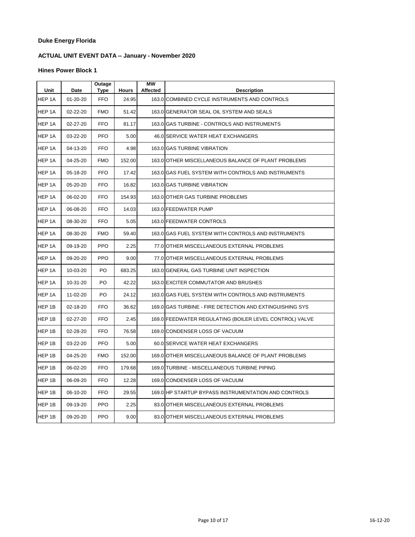# **ACTUAL UNIT EVENT DATA -- January - November 2020**

| Unit   | <b>Date</b>    | <b>Outage</b><br><b>Type</b> | <b>Hours</b> | <b>MW</b><br>Affected | <b>Description</b>                                       |
|--------|----------------|------------------------------|--------------|-----------------------|----------------------------------------------------------|
| HEP 1A | $01 - 20 - 20$ | <b>FFO</b>                   | 24.95        |                       | 163.0 COMBINED CYCLE INSTRUMENTS AND CONTROLS            |
| HEP 1A | 02-22-20       | <b>FMO</b>                   | 51.42        |                       | 163.0 GENERATOR SEAL OIL SYSTEM AND SEALS                |
| HEP 1A | 02-27-20       | FFO                          | 81.17        |                       | 163.0 GAS TURBINE - CONTROLS AND INSTRUMENTS             |
| HEP 1A | 03-22-20       | <b>PFO</b>                   | 5.00         |                       | 46.0 SERVICE WATER HEAT EXCHANGERS                       |
| HEP 1A | 04-13-20       | <b>FFO</b>                   | 4.98         |                       | 163.0 GAS TURBINE VIBRATION                              |
| HEP 1A | 04-25-20       | <b>FMO</b>                   | 152.00       |                       | 163.0 OTHER MISCELLANEOUS BALANCE OF PLANT PROBLEMS      |
| HEP 1A | 05-18-20       | <b>FFO</b>                   | 17.42        |                       | 163.0 GAS FUEL SYSTEM WITH CONTROLS AND INSTRUMENTS      |
| HEP 1A | 05-20-20       | <b>FFO</b>                   | 16.82        |                       | 163.0 GAS TURBINE VIBRATION                              |
| HEP 1A | 06-02-20       | <b>FFO</b>                   | 154.93       |                       | 163.0 OTHER GAS TURBINE PROBLEMS                         |
| HEP 1A | 06-08-20       | <b>FFO</b>                   | 14.03        |                       | 163.0 FEEDWATER PUMP                                     |
| HEP 1A | 08-30-20       | <b>FFO</b>                   | 5.05         |                       | 163.0 FEEDWATER CONTROLS                                 |
| HEP 1A | 08-30-20       | <b>FMO</b>                   | 59.40        |                       | 163.0 GAS FUEL SYSTEM WITH CONTROLS AND INSTRUMENTS      |
| HEP 1A | 09-19-20       | <b>PPO</b>                   | 2.25         |                       | 77.0 OTHER MISCELLANEOUS EXTERNAL PROBLEMS               |
| HEP 1A | 09-20-20       | <b>PPO</b>                   | 9.00         |                       | 77.0 OTHER MISCELLANEOUS EXTERNAL PROBLEMS               |
| HEP 1A | 10-03-20       | PO.                          | 683.25       |                       | 163.0 GENERAL GAS TURBINE UNIT INSPECTION                |
| HEP 1A | 10-31-20       | PO                           | 42.22        |                       | 163.0 EXCITER COMMUTATOR AND BRUSHES                     |
| HEP 1A | 11-02-20       | PO                           | 24.12        |                       | 163.0 GAS FUEL SYSTEM WITH CONTROLS AND INSTRUMENTS      |
| HEP 1B | 02-18-20       | <b>FFO</b>                   | 36.62        |                       | 169.0 GAS TURBINE - FIRE DETECTION AND EXTINGUISHING SYS |
| HEP 1B | 02-27-20       | <b>FFO</b>                   | 2.45         |                       | 169.0 FEEDWATER REGULATING (BOILER LEVEL CONTROL) VALVE  |
| HEP 1B | 02-28-20       | <b>FFO</b>                   | 76.58        |                       | 169.0 CONDENSER LOSS OF VACUUM                           |
| HEP 1B | 03-22-20       | <b>PFO</b>                   | 5.00         |                       | 60.0 SERVICE WATER HEAT EXCHANGERS                       |
| HEP 1B | 04-25-20       | <b>FMO</b>                   | 152.00       |                       | 169.0 OTHER MISCELLANEOUS BALANCE OF PLANT PROBLEMS      |
| HEP 1B | 06-02-20       | <b>FFO</b>                   | 179.68       |                       | 169.0 TURBINE - MISCELLANEOUS TURBINE PIPING             |
| HEP 1B | 06-09-20       | <b>FFO</b>                   | 12.28        |                       | 169.0 CONDENSER LOSS OF VACUUM                           |
| HEP 1B | 06-10-20       | <b>FFO</b>                   | 29.55        |                       | 169.0 HP STARTUP BYPASS INSTRUMENTATION AND CONTROLS     |
| HEP 1B | 09-19-20       | <b>PPO</b>                   | 2.25         |                       | 83.0 OTHER MISCELLANEOUS EXTERNAL PROBLEMS               |
| HEP 1B | 09-20-20       | <b>PPO</b>                   | 9.00         |                       | 83.0 OTHER MISCELLANEOUS EXTERNAL PROBLEMS               |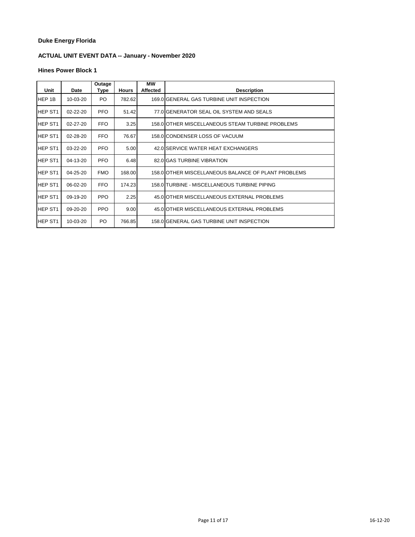# **ACTUAL UNIT EVENT DATA -- January - November 2020**

| Unit                | Date     | Outage<br>Type | <b>Hours</b> | <b>MW</b><br><b>Affected</b> | <b>Description</b>                                  |
|---------------------|----------|----------------|--------------|------------------------------|-----------------------------------------------------|
| HEP 1B              | 10-03-20 | PO.            | 782.62       |                              | 169.0 GENERAL GAS TURBINE UNIT INSPECTION           |
| HEP ST <sub>1</sub> | 02-22-20 | PFO.           | 51.42        |                              | 77.0 GENERATOR SEAL OIL SYSTEM AND SEALS            |
| HEP ST <sub>1</sub> | 02-27-20 | <b>FFO</b>     | 3.25         |                              | 158.0 OTHER MISCELLANEOUS STEAM TURBINE PROBLEMS    |
| HEP ST <sub>1</sub> | 02-28-20 | FFO.           | 76.67        |                              | 158.0 CONDENSER LOSS OF VACUUM                      |
| <b>HEP ST1</b>      | 03-22-20 | PFO.           | 5.00         |                              | 42.0 SERVICE WATER HEAT EXCHANGERS                  |
| <b>HEP ST1</b>      | 04-13-20 | <b>PFO</b>     | 6.48         |                              | 82.0 GAS TURBINE VIBRATION                          |
| HEP ST <sub>1</sub> | 04-25-20 | <b>FMO</b>     | 168.00       |                              | 158.0 OTHER MISCELLANEOUS BALANCE OF PLANT PROBLEMS |
| HEP ST1             | 06-02-20 | FFO.           | 174.23       |                              | 158.0 TURBINE - MISCELLANEOUS TURBINE PIPING        |
| HEP ST1             | 09-19-20 | PPO.           | 2.25         |                              | 45.0 OTHER MISCELLANEOUS EXTERNAL PROBLEMS          |
| HEP ST <sub>1</sub> | 09-20-20 | PPO.           | 9.00         |                              | 45.0 OTHER MISCELLANEOUS EXTERNAL PROBLEMS          |
| HEP ST1             | 10-03-20 | PO.            | 766.85       |                              | 158.0 GENERAL GAS TURBINE UNIT INSPECTION           |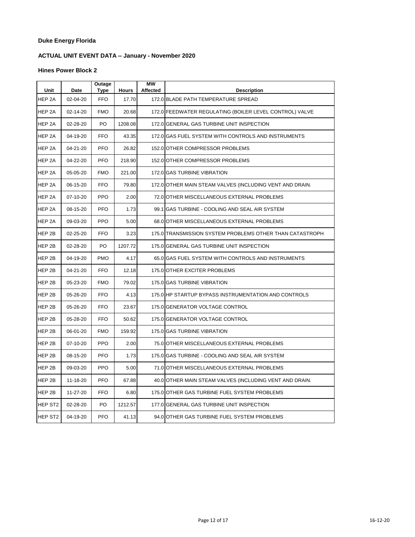# **ACTUAL UNIT EVENT DATA -- January - November 2020**

| Unit                | <b>Date</b> | Outage<br><b>Type</b> | <b>Hours</b> | <b>MW</b><br>Affected | <b>Description</b>                                       |
|---------------------|-------------|-----------------------|--------------|-----------------------|----------------------------------------------------------|
| HEP <sub>2A</sub>   | 02-04-20    | <b>FFO</b>            | 17.70        |                       | 172.0 BLADE PATH TEMPERATURE SPREAD                      |
| HEP 2A              | 02-14-20    | <b>FMO</b>            | 20.68        |                       | 172.0 FEEDWATER REGULATING (BOILER LEVEL CONTROL) VALVE  |
| HEP 2A              | 02-28-20    | PO                    | 1208.08      |                       | 172.0 GENERAL GAS TURBINE UNIT INSPECTION                |
| HEP 2A              | 04-19-20    | <b>FFO</b>            | 43.35        |                       | 172.0 GAS FUEL SYSTEM WITH CONTROLS AND INSTRUMENTS      |
| HEP 2A              | 04-21-20    | <b>PFO</b>            | 26.82        |                       | 152.0 OTHER COMPRESSOR PROBLEMS                          |
| HEP <sub>2A</sub>   | 04-22-20    | <b>PFO</b>            | 218.90       |                       | 152.0 OTHER COMPRESSOR PROBLEMS                          |
| HEP 2A              | 05-05-20    | <b>FMO</b>            | 221.00       |                       | 172.0 GAS TURBINE VIBRATION                              |
| HEP 2A              | 06-15-20    | <b>FFO</b>            | 79.80        |                       | 172.0 OTHER MAIN STEAM VALVES (INCLUDING VENT AND DRAIN. |
| HEP 2A              | 07-10-20    | <b>PPO</b>            | 2.00         |                       | 72.0 OTHER MISCELLANEOUS EXTERNAL PROBLEMS               |
| HEP 2A              | 08-15-20    | <b>PFO</b>            | 1.73         |                       | 99.1 GAS TURBINE - COOLING AND SEAL AIR SYSTEM           |
| HEP 2A              | 09-03-20    | <b>PPO</b>            | 5.00         |                       | 68.0 OTHER MISCELLANEOUS EXTERNAL PROBLEMS               |
| HEP 2B              | 02-25-20    | <b>FFO</b>            | 3.23         |                       | 175.0 TRANSMISSION SYSTEM PROBLEMS OTHER THAN CATASTROPH |
| HEP 2B              | 02-28-20    | PO                    | 1207.72      |                       | 175.0 GENERAL GAS TURBINE UNIT INSPECTION                |
| HEP 2B              | 04-19-20    | <b>PMO</b>            | 4.17         |                       | 65.0 IGAS FUEL SYSTEM WITH CONTROLS AND INSTRUMENTS      |
| HEP 2B              | 04-21-20    | <b>FFO</b>            | 12.18        |                       | 175.0 OTHER EXCITER PROBLEMS                             |
| HEP 2B              | 05-23-20    | <b>FMO</b>            | 79.02        |                       | 175.0 GAS TURBINE VIBRATION                              |
| HEP 2B              | 05-26-20    | <b>FFO</b>            | 4.13         |                       | 175.0 HP STARTUP BYPASS INSTRUMENTATION AND CONTROLS     |
| HEP 2B              | 05-26-20    | <b>FFO</b>            | 23.67        |                       | 175.0 GENERATOR VOLTAGE CONTROL                          |
| HEP 2B              | 05-28-20    | <b>FFO</b>            | 50.62        |                       | 175.0 GENERATOR VOLTAGE CONTROL                          |
| HEP 2B              | 06-01-20    | <b>FMO</b>            | 159.92       |                       | 175.0 GAS TURBINE VIBRATION                              |
| HEP 2B              | 07-10-20    | <b>PPO</b>            | 2.00         |                       | 75.0 OTHER MISCELLANEOUS EXTERNAL PROBLEMS               |
| HEP 2B              | 08-15-20    | <b>PFO</b>            | 1.73         |                       | 175.0 IGAS TURBINE - COOLING AND SEAL AIR SYSTEM         |
| HEP 2B              | 09-03-20    | <b>PPO</b>            | 5.00         |                       | 71.0 OTHER MISCELLANEOUS EXTERNAL PROBLEMS               |
| HEP 2B              | 11-18-20    | <b>PFO</b>            | 67.88        |                       | 40.0 OTHER MAIN STEAM VALVES (INCLUDING VENT AND DRAIN.  |
| HEP 2B              | 11-27-20    | <b>FFO</b>            | 6.80         |                       | 175.0 OTHER GAS TURBINE FUEL SYSTEM PROBLEMS             |
| HEP ST <sub>2</sub> | 02-28-20    | PO                    | 1212.57      |                       | 177.0 GENERAL GAS TURBINE UNIT INSPECTION                |
| HEP ST <sub>2</sub> | 04-19-20    | <b>PFO</b>            | 41.13        |                       | 94.0 OTHER GAS TURBINE FUEL SYSTEM PROBLEMS              |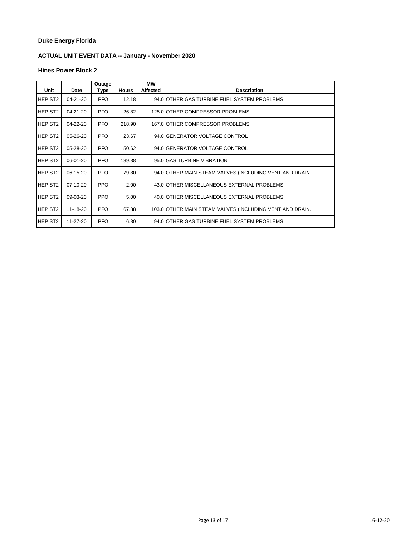# **ACTUAL UNIT EVENT DATA -- January - November 2020**

| Unit                | Date     | Outage<br>Type | <b>Hours</b> | МW<br><b>Affected</b> | <b>Description</b>                                       |
|---------------------|----------|----------------|--------------|-----------------------|----------------------------------------------------------|
| HEP ST2             | 04-21-20 | <b>PFO</b>     | 12.18        |                       | 94.0 OTHER GAS TURBINE FUEL SYSTEM PROBLEMS              |
| HEP ST <sub>2</sub> | 04-21-20 | PFO.           | 26.82        |                       | 125.0 OTHER COMPRESSOR PROBLEMS                          |
| HEP ST <sub>2</sub> | 04-22-20 | PFO.           | 218.90       |                       | 167.0 OTHER COMPRESSOR PROBLEMS                          |
| HEP ST <sub>2</sub> | 05-26-20 | PFO.           | 23.67        |                       | 94.0 GENERATOR VOLTAGE CONTROL                           |
| <b>HEP ST2</b>      | 05-28-20 | PFO.           | 50.62        |                       | 94.0 GENERATOR VOLTAGE CONTROL                           |
| <b>HEP ST2</b>      | 06-01-20 | PFO.           | 189.88       |                       | 95.0 GAS TURBINE VIBRATION                               |
| HEP ST2             | 06-15-20 | PFO.           | 79.80        |                       | 94.0 OTHER MAIN STEAM VALVES (INCLUDING VENT AND DRAIN.  |
| HEP ST <sub>2</sub> | 07-10-20 | PPO.           | 2.00         |                       | 43.0 OTHER MISCELLANEOUS EXTERNAL PROBLEMS               |
| HEP ST2             | 09-03-20 | PPO            | 5.00         |                       | 40.0 OTHER MISCELLANEOUS EXTERNAL PROBLEMS               |
| HEP ST <sub>2</sub> | 11-18-20 | PFO.           | 67.88        |                       | 103.0 OTHER MAIN STEAM VALVES (INCLUDING VENT AND DRAIN. |
| HEP ST2             | 11-27-20 | PFO.           | 6.80         |                       | 94.0 OTHER GAS TURBINE FUEL SYSTEM PROBLEMS              |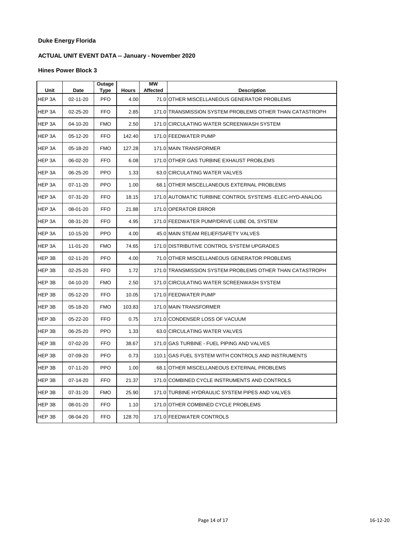# **ACTUAL UNIT EVENT DATA -- January - November 2020**

| Unit   | Date     | Outage<br>Type | <b>Hours</b> | <b>MW</b><br>Affected | <b>Description</b>                                        |
|--------|----------|----------------|--------------|-----------------------|-----------------------------------------------------------|
| HEP 3A | 02-11-20 | <b>PFO</b>     | 4.00         |                       | 71.0 OTHER MISCELLANEOUS GENERATOR PROBLEMS               |
| HEP 3A | 02-25-20 | <b>FFO</b>     | 2.85         |                       | 171.0 TRANSMISSION SYSTEM PROBLEMS OTHER THAN CATASTROPH  |
| HEP 3A | 04-10-20 | <b>FMO</b>     | 2.50         |                       | 171.0 CIRCULATING WATER SCREENWASH SYSTEM                 |
| HEP 3A | 05-12-20 | <b>FFO</b>     | 142.40       |                       | 171.0 FEEDWATER PUMP                                      |
| HEP 3A | 05-18-20 | <b>FMO</b>     | 127.28       |                       | 171.0 MAIN TRANSFORMER                                    |
| HEP 3A | 06-02-20 | <b>FFO</b>     | 6.08         |                       | 171.0 OTHER GAS TURBINE EXHAUST PROBLEMS                  |
| HEP 3A | 06-25-20 | <b>PPO</b>     | 1.33         |                       | 63.0 CIRCULATING WATER VALVES                             |
| HEP 3A | 07-11-20 | <b>PPO</b>     | 1.00         |                       | 68.1 OTHER MISCELLANEOUS EXTERNAL PROBLEMS                |
| HEP 3A | 07-31-20 | <b>FFO</b>     | 18.15        |                       | 171.0 AUTOMATIC TURBINE CONTROL SYSTEMS - ELEC-HYD-ANALOG |
| HEP 3A | 08-01-20 | <b>FFO</b>     | 21.88        |                       | 171.0 OPERATOR ERROR                                      |
| HEP 3A | 08-31-20 | <b>FFO</b>     | 4.95         |                       | 171.0 FEEDWATER PUMP/DRIVE LUBE OIL SYSTEM                |
| HEP 3A | 10-15-20 | <b>PPO</b>     | 4.00         |                       | 45.0 MAIN STEAM RELIEF/SAFETY VALVES                      |
| HEP 3A | 11-01-20 | <b>FMO</b>     | 74.65        |                       | 171.0 DISTRIBUTIVE CONTROL SYSTEM UPGRADES                |
| HEP 3B | 02-11-20 | <b>PFO</b>     | 4.00         |                       | 71.0 OTHER MISCELLANEOUS GENERATOR PROBLEMS               |
| HEP 3B | 02-25-20 | <b>FFO</b>     | 1.72         |                       | 171.0 TRANSMISSION SYSTEM PROBLEMS OTHER THAN CATASTROPH  |
| HEP 3B | 04-10-20 | <b>FMO</b>     | 2.50         |                       | 171.0 CIRCULATING WATER SCREENWASH SYSTEM                 |
| HEP 3B | 05-12-20 | <b>FFO</b>     | 10.05        |                       | 171.0 FEEDWATER PUMP                                      |
| HEP 3B | 05-18-20 | <b>FMO</b>     | 103.83       |                       | 171.0 MAIN TRANSFORMER                                    |
| HEP 3B | 05-22-20 | <b>FFO</b>     | 0.75         |                       | 171.0 CONDENSER LOSS OF VACUUM                            |
| HEP 3B | 06-25-20 | <b>PPO</b>     | 1.33         |                       | 63.0 CIRCULATING WATER VALVES                             |
| HEP 3B | 07-02-20 | <b>FFO</b>     | 38.67        |                       | 171.0 GAS TURBINE - FUEL PIPING AND VALVES                |
| HEP 3B | 07-09-20 | <b>PFO</b>     | 0.73         |                       | 110.1 GAS FUEL SYSTEM WITH CONTROLS AND INSTRUMENTS       |
| HEP 3B | 07-11-20 | <b>PPO</b>     | 1.00         |                       | 68.1 OTHER MISCELLANEOUS EXTERNAL PROBLEMS                |
| HEP 3B | 07-14-20 | <b>FFO</b>     | 21.37        |                       | 171.0 COMBINED CYCLE INSTRUMENTS AND CONTROLS             |
| HEP 3B | 07-31-20 | <b>FMO</b>     | 25.90        |                       | 171.0 TURBINE HYDRAULIC SYSTEM PIPES AND VALVES           |
| HEP 3B | 08-01-20 | <b>FFO</b>     | 1.10         |                       | 171.0 OTHER COMBINED CYCLE PROBLEMS                       |
| HEP 3B | 08-04-20 | <b>FFO</b>     | 128.70       |                       | 171.0 FEEDWATER CONTROLS                                  |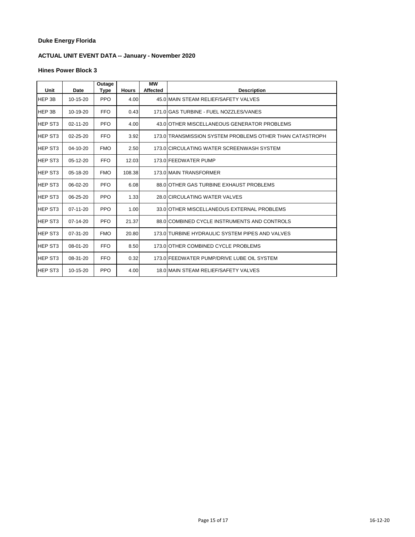# **ACTUAL UNIT EVENT DATA -- January - November 2020**

| Unit           | Date           | Outage<br>Type | <b>Hours</b> | <b>MW</b><br><b>Affected</b> | <b>Description</b>                                       |
|----------------|----------------|----------------|--------------|------------------------------|----------------------------------------------------------|
| HEP 3B         | $10-15-20$     | <b>PPO</b>     | 4.00         |                              | 45.0 MAIN STEAM RELIEF/SAFETY VALVES                     |
| HEP 3B         | 10-19-20       | <b>FFO</b>     | 0.43         |                              | 171.0 GAS TURBINE - FUEL NOZZLES/VANES                   |
| <b>HEP ST3</b> | 02-11-20       | <b>PFO</b>     | 4.00         |                              | 43.0 OTHER MISCELLANEOUS GENERATOR PROBLEMS              |
| <b>HEP ST3</b> | 02-25-20       | <b>FFO</b>     | 3.92         |                              | 173.0 TRANSMISSION SYSTEM PROBLEMS OTHER THAN CATASTROPH |
| HEP ST3        | $04 - 10 - 20$ | <b>FMO</b>     | 2.50         |                              | 173.0 CIRCULATING WATER SCREENWASH SYSTEM                |
| <b>HEP ST3</b> | 05-12-20       | <b>FFO</b>     | 12.03        |                              | 173.0 FEEDWATER PUMP                                     |
| <b>HEP ST3</b> | $05-18-20$     | <b>FMO</b>     | 108.38       |                              | 173.0 MAIN TRANSFORMER                                   |
| <b>HEP ST3</b> | 06-02-20       | <b>PFO</b>     | 6.08         |                              | 88.0 OTHER GAS TURBINE EXHAUST PROBLEMS                  |
| <b>HEP ST3</b> | 06-25-20       | <b>PPO</b>     | 1.33         |                              | 28.0 CIRCULATING WATER VALVES                            |
| <b>HEP ST3</b> | $07 - 11 - 20$ | <b>PPO</b>     | 1.00         |                              | 33.0 OTHER MISCELLANEOUS EXTERNAL PROBLEMS               |
| <b>HEP ST3</b> | $07 - 14 - 20$ | <b>PFO</b>     | 21.37        |                              | 88.0 COMBINED CYCLE INSTRUMENTS AND CONTROLS             |
| <b>HEP ST3</b> | 07-31-20       | <b>FMO</b>     | 20.80        |                              | 173.0 TURBINE HYDRAULIC SYSTEM PIPES AND VALVES          |
| <b>HEP ST3</b> | 08-01-20       | <b>FFO</b>     | 8.50         |                              | 173.0 OTHER COMBINED CYCLE PROBLEMS                      |
| <b>HEP ST3</b> | 08-31-20       | <b>FFO</b>     | 0.32         |                              | 173.0 FEEDWATER PUMP/DRIVE LUBE OIL SYSTEM               |
| <b>HEP ST3</b> | 10-15-20       | <b>PPO</b>     | 4.00         |                              | 18.0 MAIN STEAM RELIEF/SAFETY VALVES                     |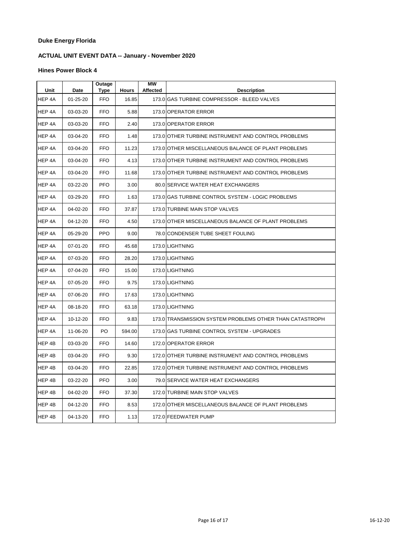# **ACTUAL UNIT EVENT DATA -- January - November 2020**

| Unit   | Date           | Outage<br>Type | <b>Hours</b> | MW<br><b>Affected</b> | <b>Description</b>                                       |
|--------|----------------|----------------|--------------|-----------------------|----------------------------------------------------------|
| HEP 4A | $01 - 25 - 20$ | <b>FFO</b>     | 16.85        |                       | 173.0 GAS TURBINE COMPRESSOR - BLEED VALVES              |
| HEP 4A | 03-03-20       | <b>FFO</b>     | 5.88         |                       | 173.0 OPERATOR ERROR                                     |
| HEP 4A | 03-03-20       | <b>FFO</b>     | 2.40         |                       | 173.0 OPERATOR ERROR                                     |
| HEP 4A | 03-04-20       | <b>FFO</b>     | 1.48         |                       | 173.0 OTHER TURBINE INSTRUMENT AND CONTROL PROBLEMS      |
| HEP 4A | 03-04-20       | <b>FFO</b>     | 11.23        |                       | 173.0 OTHER MISCELLANEOUS BALANCE OF PLANT PROBLEMS      |
| HEP 4A | 03-04-20       | <b>FFO</b>     | 4.13         |                       | 173.0 OTHER TURBINE INSTRUMENT AND CONTROL PROBLEMS      |
| HEP 4A | 03-04-20       | <b>FFO</b>     | 11.68        |                       | 173.0 OTHER TURBINE INSTRUMENT AND CONTROL PROBLEMS      |
| HEP 4A | 03-22-20       | <b>PFO</b>     | 3.00         |                       | 80.0 SERVICE WATER HEAT EXCHANGERS                       |
| HEP 4A | 03-29-20       | <b>FFO</b>     | 1.63         |                       | 173.0 IGAS TURBINE CONTROL SYSTEM - LOGIC PROBLEMS       |
| HEP 4A | 04-02-20       | <b>FFO</b>     | 37.87        |                       | 173.0 TURBINE MAIN STOP VALVES                           |
| HEP 4A | 04-12-20       | <b>FFO</b>     | 4.50         |                       | 173.0 OTHER MISCELLANEOUS BALANCE OF PLANT PROBLEMS      |
| HEP 4A | 05-29-20       | <b>PPO</b>     | 9.00         |                       | 78.0 CONDENSER TUBE SHEET FOULING                        |
| HEP 4A | 07-01-20       | <b>FFO</b>     | 45.68        |                       | 173.0 LIGHTNING                                          |
| HEP 4A | 07-03-20       | <b>FFO</b>     | 28.20        |                       | 173.0 LIGHTNING                                          |
| HEP 4A | 07-04-20       | <b>FFO</b>     | 15.00        |                       | 173.0 LIGHTNING                                          |
| HEP 4A | 07-05-20       | FFO.           | 9.75         |                       | 173.0 LIGHTNING                                          |
| HEP 4A | 07-06-20       | <b>FFO</b>     | 17.63        |                       | 173.0 LIGHTNING                                          |
| HEP 4A | 08-18-20       | <b>FFO</b>     | 63.18        |                       | 173.0 LIGHTNING                                          |
| HEP 4A | 10-12-20       | <b>FFO</b>     | 9.83         |                       | 173.0 TRANSMISSION SYSTEM PROBLEMS OTHER THAN CATASTROPH |
| HEP 4A | 11-06-20       | PO             | 594.00       |                       | 173.0 GAS TURBINE CONTROL SYSTEM - UPGRADES              |
| HEP 4B | 03-03-20       | <b>FFO</b>     | 14.60        |                       | 172.0 OPERATOR ERROR                                     |
| HEP 4B | 03-04-20       | <b>FFO</b>     | 9.30         |                       | 172.0 OTHER TURBINE INSTRUMENT AND CONTROL PROBLEMS      |
| HEP 4B | 03-04-20       | <b>FFO</b>     | 22.85        |                       | 172.0 OTHER TURBINE INSTRUMENT AND CONTROL PROBLEMS      |
| HEP 4B | 03-22-20       | <b>PFO</b>     | 3.00         |                       | 79.0 SERVICE WATER HEAT EXCHANGERS                       |
| HEP 4B | 04-02-20       | <b>FFO</b>     | 37.30        |                       | 172.0 TURBINE MAIN STOP VALVES                           |
| HEP 4B | 04-12-20       | <b>FFO</b>     | 8.53         |                       | 172.0 OTHER MISCELLANEOUS BALANCE OF PLANT PROBLEMS      |
| HEP 4B | 04-13-20       | <b>FFO</b>     | 1.13         |                       | 172.0 FEEDWATER PUMP                                     |